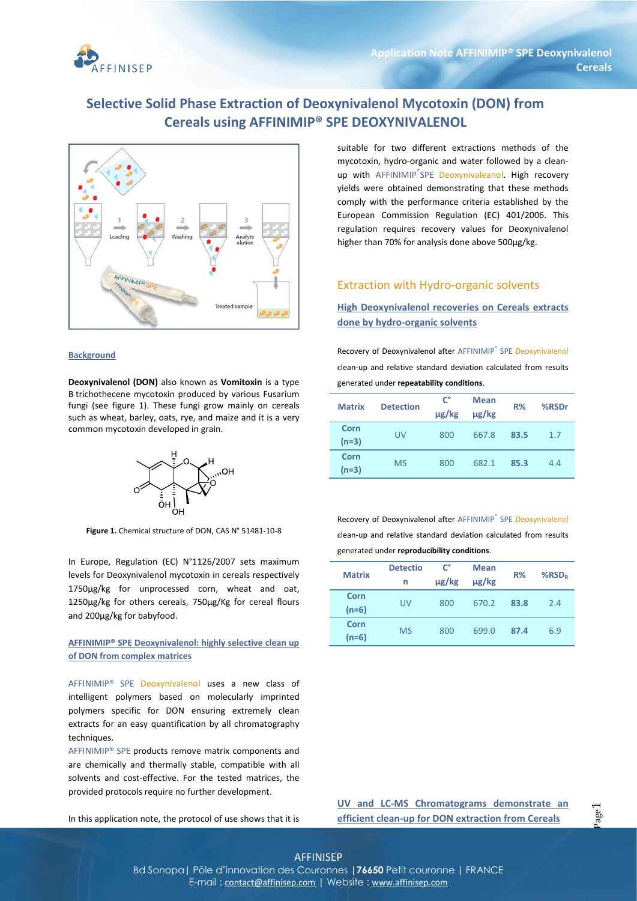

# **Selective Solid Phase Extraction of Deoxynivalenol Mycotoxin (DON) from Cereals using AFFINIMIP® SPE DEOXYNIVALENOL**



#### **Background**

**Deoxynivalenol (DON)** also known as **Vomitoxin** is a type B trichothecene mycotoxin produced by various Fusarium fungi (see figure 1). These fungi grow mainly on cereals such as wheat, barley, oats, rye, and maize and it is a very common mycotoxin developed in grain.



**Figure 1.** Chemical structure of DON, CAS N° 51481-10-8

In Europe, Regulation (EC) N°1126/2007 sets maximum levels for Deoxynivalenol mycotoxin in cereals respectively 1750µg/kg for unprocessed corn, wheat and oat, 1250µg/kg for others cereals, 750µg/Kg for cereal flours and 200µg/kg for babyfood.

**AFFINIMIP® SPE Deoxynivalenol: highly selective clean up of DON from complex matrices**

AFFINIMIP® SPE Deoxynivalenol uses a new class of intelligent polymers based on molecularly imprinted polymers specific for DON ensuring extremely clean extracts for an easy quantification by all chromatography techniques.

AFFINIMIP® SPE products remove matrix components and are chemically and thermally stable, compatible with all solvents and cost-effective. For the tested matrices, the provided protocols require no further development.

In this application note, the protocol of use shows that it is

suitable for two different extractions methods of the mycotoxin, hydro-organic and water followed by a cleanup with AFFINIMIP<sup>®</sup>SPE Deoxynivaleanol. High recovery yields were obtained demonstrating that these methods comply with the performance criteria established by the European Commission Regulation (EC) 401/2006. This regulation requires recovery values for Deoxynivalenol higher than 70% for analysis done above 500µg/kg.

# Extraction with Hydro-organic solvents

# **High Deoxynivalenol recoveries on Cereals extracts done by hydro-organic solvents**

Recovery of Deoxynivalenol after AFFINIMIP® SPE Deoxynivalenol clean-up and relative standard deviation calculated from results generated under **repeatability conditions**.

| <b>Matrix</b>   | <b>Detection</b> | $\mathsf{C}^\circ$<br>$\mu$ g/kg | <b>Mean</b><br>$\mu$ g/kg | R%   | %RSDr |
|-----------------|------------------|----------------------------------|---------------------------|------|-------|
| Corn<br>$(n=3)$ | <b>UV</b>        | 800                              | 667.8                     | 83.5 | 1.7   |
| Corn<br>$(n=3)$ | <b>MS</b>        | 800                              | 682.1                     | 85.3 | 4.4   |

Recovery of Deoxynivalenol after AFFINIMIP® SPE Deoxynivalenol clean-up and relative standard deviation calculated from results generated under **reproducibility conditions**.

| <b>Matrix</b>   | <b>Detectio</b><br>n | $\mathsf{C}^{\circ}$<br>$\mu$ g/kg | <b>Mean</b><br>$\mu$ g/kg | R%   | $%$ RSD <sub>R</sub> |
|-----------------|----------------------|------------------------------------|---------------------------|------|----------------------|
| Corn<br>$(n=6)$ | UV                   | 800                                | 670.2                     | 83.8 | 2.4                  |
| Corn<br>$(n=6)$ | <b>MS</b>            | 800                                | 699.0                     | 87.4 | 6.9                  |

**UV and LC-MS Chromatograms demonstrate an efficient clean-up for DON extraction from Cereals** 

AFFINISEP

Bd Sonopa**|** Pôle d'innovation des Couronnes **|76650** Petit couronne **|** FRANCE E-mail : contact@affinisep.com **|** Website : www.affinisep.com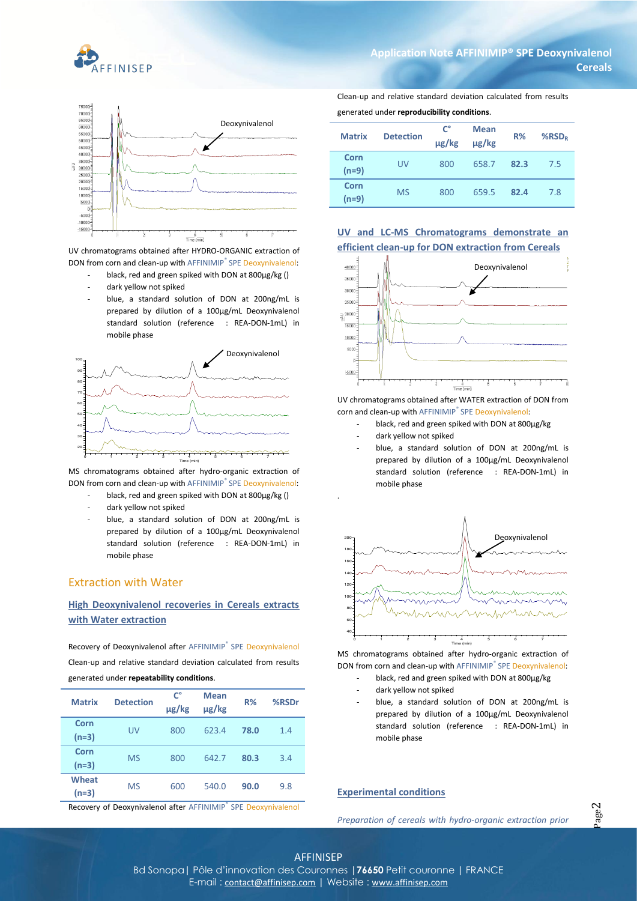



UV chromatograms obtained after HYDRO-ORGANIC extraction of DON from corn and clean-up with AFFINIMIP® SPE Deoxynivalenol:

- black, red and green spiked with DON at 800µg/kg ()
- dark yellow not spiked
- blue, a standard solution of DON at 200ng/mL is prepared by dilution of a 100µg/mL Deoxynivalenol standard solution (reference : REA-DON-1mL) in mobile phase



MS chromatograms obtained after hydro-organic extraction of DON from corn and clean-up with AFFINIMIP® SPE Deoxynivalenol:

- black, red and green spiked with DON at 800µg/kg ()
- dark yellow not spiked
- blue, a standard solution of DON at 200ng/mL is prepared by dilution of a 100µg/mL Deoxynivalenol standard solution (reference : REA-DON-1mL) in mobile phase

# Extraction with Water

# **High Deoxynivalenol recoveries in Cereals extracts with Water extraction**

Recovery of Deoxynivalenol after AFFINIMIP® SPE Deoxynivalenol Clean-up and relative standard deviation calculated from results generated under **repeatability conditions**.

| <b>Matrix</b>           | <b>Detection</b> | $\mathsf{C}^\circ$<br>$\mu$ g/kg | <b>Mean</b><br>$\mu$ g/kg | R%   | %RSDr |
|-------------------------|------------------|----------------------------------|---------------------------|------|-------|
| Corn<br>$(n=3)$         | UV               | 800                              | 623.4                     | 78.0 | 1.4   |
| Corn<br>$(n=3)$         | <b>MS</b>        | 800                              | 642.7                     | 80.3 | 3.4   |
| <b>Wheat</b><br>$(n=3)$ | <b>MS</b>        | 600                              | 540.0                     | 90.0 | 9.8   |

Recovery of Deoxynivalenol after AFFINIMIP® SPE Deoxynivalenol

Clean-up and relative standard deviation calculated from results generated under **reproducibility conditions**.

| <b>Matrix</b>   | <b>Detection</b> | $\mathsf{C}^\circ$<br>$\mu$ g/kg | <b>Mean</b><br>$\mu$ g/kg | R%   | $%$ RSD <sub>R</sub> |
|-----------------|------------------|----------------------------------|---------------------------|------|----------------------|
| Corn<br>$(n=9)$ | UV               | 800                              | 658.7                     | 82.3 | 7.5                  |
| Corn<br>(n=9)   | <b>MS</b>        | 800                              | 659.5                     | 82.4 | 7.8                  |

# **UV and LC-MS Chromatograms demonstrate an efficient clean-up for DON extraction from Cereals**



UV chromatograms obtained after WATER extraction of DON from corn and clean-up with AFFINIMIP® SPE Deoxynivalenol:

- black, red and green spiked with DON at 800µg/kg
- dark yellow not spiked

.

blue, a standard solution of DON at 200ng/mL is prepared by dilution of a 100µg/mL Deoxynivalenol standard solution (reference : REA-DON-1mL) in mobile phase



MS chromatograms obtained after hydro-organic extraction of DON from corn and clean-up with AFFINIMIP® SPE Deoxynivalenol:

- black, red and green spiked with DON at 800µg/kg
- dark yellow not spiked
- blue, a standard solution of DON at 200ng/mL is prepared by dilution of a 100µg/mL Deoxynivalenol standard solution (reference : REA-DON-1mL) in mobile phase

# **Experimental conditions**

*Preparation of cereals with hydro-organic extraction prior* 

Bd Sonopa**|** Pôle d'innovation des Couronnes **|76650** Petit couronne **|** FRANCE E-mail : contact@affinisep.com **|** Website : www.affinisep.com